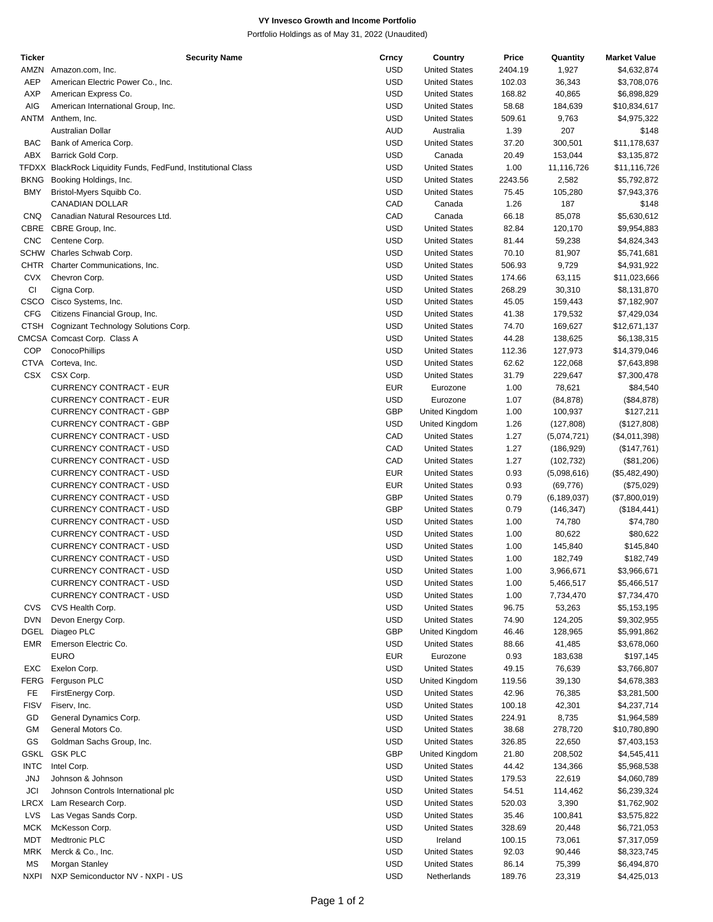## **VY Invesco Growth and Income Portfolio**

Portfolio Holdings as of May 31, 2022 (Unaudited)

| Ticker      | <b>Security Name</b>                                          | Crncy      | Country              | Price   | Quantity      | <b>Market Value</b> |
|-------------|---------------------------------------------------------------|------------|----------------------|---------|---------------|---------------------|
| AMZN        | Amazon.com, Inc.                                              | <b>USD</b> | <b>United States</b> | 2404.19 | 1,927         | \$4,632,874         |
| <b>AEP</b>  | American Electric Power Co., Inc.                             | <b>USD</b> | <b>United States</b> | 102.03  | 36,343        | \$3,708,076         |
| <b>AXP</b>  | American Express Co.                                          | <b>USD</b> | <b>United States</b> | 168.82  | 40,865        | \$6,898,829         |
| AIG         | American International Group, Inc.                            | <b>USD</b> | <b>United States</b> | 58.68   | 184,639       | \$10,834,617        |
| ANTM        | Anthem, Inc.                                                  | <b>USD</b> | <b>United States</b> | 509.61  | 9,763         | \$4,975,322         |
|             | Australian Dollar                                             | <b>AUD</b> | Australia            | 1.39    | 207           | \$148               |
| <b>BAC</b>  | Bank of America Corp.                                         | <b>USD</b> | <b>United States</b> | 37.20   | 300,501       | \$11,178,637        |
| ABX         | Barrick Gold Corp.                                            | <b>USD</b> | Canada               | 20.49   | 153,044       | \$3,135,872         |
|             | TFDXX BlackRock Liquidity Funds, FedFund, Institutional Class | <b>USD</b> | <b>United States</b> | 1.00    | 11,116,726    | \$11,116,726        |
| <b>BKNG</b> | Booking Holdings, Inc.                                        | <b>USD</b> | <b>United States</b> | 2243.56 | 2,582         | \$5,792,872         |
| BMY         |                                                               | <b>USD</b> | <b>United States</b> | 75.45   | 105,280       |                     |
|             | Bristol-Myers Squibb Co.                                      |            |                      |         |               | \$7,943,376         |
|             | CANADIAN DOLLAR                                               | CAD        | Canada               | 1.26    | 187           | \$148               |
| CNQ         | Canadian Natural Resources Ltd.                               | CAD        | Canada               | 66.18   | 85,078        | \$5,630,612         |
| CBRE        | CBRE Group, Inc.                                              | <b>USD</b> | <b>United States</b> | 82.84   | 120,170       | \$9,954,883         |
| <b>CNC</b>  | Centene Corp.                                                 | <b>USD</b> | <b>United States</b> | 81.44   | 59,238        | \$4,824,343         |
|             | SCHW Charles Schwab Corp.                                     | <b>USD</b> | <b>United States</b> | 70.10   | 81,907        | \$5,741,681         |
| CHTR        | Charter Communications, Inc.                                  | <b>USD</b> | <b>United States</b> | 506.93  | 9,729         | \$4,931,922         |
| <b>CVX</b>  | Chevron Corp.                                                 | <b>USD</b> | <b>United States</b> | 174.66  | 63,115        | \$11,023,666        |
| СI          | Cigna Corp.                                                   | <b>USD</b> | <b>United States</b> | 268.29  | 30,310        | \$8,131,870         |
|             | CSCO Cisco Systems, Inc.                                      | <b>USD</b> | <b>United States</b> | 45.05   | 159,443       | \$7,182,907         |
| <b>CFG</b>  | Citizens Financial Group, Inc.                                | <b>USD</b> | <b>United States</b> | 41.38   | 179,532       | \$7,429,034         |
| CTSH        | Cognizant Technology Solutions Corp.                          | <b>USD</b> | <b>United States</b> | 74.70   | 169,627       | \$12,671,137        |
|             | CMCSA Comcast Corp. Class A                                   | <b>USD</b> | <b>United States</b> | 44.28   | 138,625       | \$6,138,315         |
| <b>COP</b>  | ConocoPhillips                                                | <b>USD</b> | <b>United States</b> | 112.36  | 127,973       | \$14,379,046        |
| <b>CTVA</b> | Corteva, Inc.                                                 | <b>USD</b> | <b>United States</b> | 62.62   | 122,068       | \$7,643,898         |
| CSX         | CSX Corp.                                                     | <b>USD</b> | <b>United States</b> | 31.79   | 229,647       | \$7,300,478         |
|             |                                                               | <b>EUR</b> | Eurozone             |         |               |                     |
|             | <b>CURRENCY CONTRACT - EUR</b>                                |            |                      | 1.00    | 78,621        | \$84,540            |
|             | CURRENCY CONTRACT - EUR                                       | <b>USD</b> | Eurozone             | 1.07    | (84, 878)     | (\$84,878)          |
|             | <b>CURRENCY CONTRACT - GBP</b>                                | GBP        | United Kingdom       | 1.00    | 100,937       | \$127,211           |
|             | <b>CURRENCY CONTRACT - GBP</b>                                | <b>USD</b> | United Kingdom       | 1.26    | (127, 808)    | (\$127,808)         |
|             | CURRENCY CONTRACT - USD                                       | CAD        | <b>United States</b> | 1.27    | (5,074,721)   | (\$4,011,398)       |
|             | CURRENCY CONTRACT - USD                                       | CAD        | <b>United States</b> | 1.27    | (186, 929)    | (\$147,761)         |
|             | CURRENCY CONTRACT - USD                                       | CAD        | <b>United States</b> | 1.27    | (102, 732)    | (\$81,206)          |
|             | CURRENCY CONTRACT - USD                                       | <b>EUR</b> | <b>United States</b> | 0.93    | (5,098,616)   | (\$5,482,490)       |
|             | CURRENCY CONTRACT - USD                                       | <b>EUR</b> | <b>United States</b> | 0.93    | (69, 776)     | (\$75,029)          |
|             | CURRENCY CONTRACT - USD                                       | <b>GBP</b> | <b>United States</b> | 0.79    | (6, 189, 037) | (\$7,800,019)       |
|             | <b>CURRENCY CONTRACT - USD</b>                                | GBP        | <b>United States</b> | 0.79    | (146, 347)    | (\$184,441)         |
|             | <b>CURRENCY CONTRACT - USD</b>                                | <b>USD</b> | <b>United States</b> | 1.00    | 74,780        | \$74,780            |
|             | CURRENCY CONTRACT - USD                                       | <b>USD</b> | <b>United States</b> | 1.00    | 80,622        | \$80,622            |
|             | CURRENCY CONTRACT - USD                                       | <b>USD</b> | <b>United States</b> | 1.00    | 145,840       | \$145,840           |
|             | CURRENCY CONTRACT - USD                                       | <b>USD</b> | <b>United States</b> | 1.00    | 182,749       | \$182,749           |
|             | CURRENCY CONTRACT - USD                                       | <b>USD</b> | <b>United States</b> | 1.00    | 3,966,671     | \$3,966,671         |
|             | CURRENCY CONTRACT - USD                                       | <b>USD</b> | <b>United States</b> | 1.00    | 5,466,517     | \$5,466,517         |
|             | CURRENCY CONTRACT - USD                                       | <b>USD</b> | <b>United States</b> |         |               |                     |
|             |                                                               |            |                      | 1.00    | 7,734,470     | \$7,734,470         |
| <b>CVS</b>  | CVS Health Corp.                                              | <b>USD</b> | <b>United States</b> | 96.75   | 53,263        | \$5,153,195         |
| <b>DVN</b>  | Devon Energy Corp.                                            | <b>USD</b> | <b>United States</b> | 74.90   | 124,205       | \$9,302,955         |
| DGEL        | Diageo PLC                                                    | <b>GBP</b> | United Kingdom       | 46.46   | 128,965       | \$5,991,862         |
| EMR         | Emerson Electric Co.                                          | <b>USD</b> | <b>United States</b> | 88.66   | 41,485        | \$3,678,060         |
|             | <b>EURO</b>                                                   | EUR        | Eurozone             | 0.93    | 183,638       | \$197,145           |
| EXC         | Exelon Corp.                                                  | <b>USD</b> | <b>United States</b> | 49.15   | 76,639        | \$3,766,807         |
| FERG        | Ferguson PLC                                                  | <b>USD</b> | United Kingdom       | 119.56  | 39,130        | \$4,678,383         |
| FE.         | FirstEnergy Corp.                                             | <b>USD</b> | <b>United States</b> | 42.96   | 76,385        | \$3,281,500         |
| <b>FISV</b> | Fiserv, Inc.                                                  | <b>USD</b> | <b>United States</b> | 100.18  | 42,301        | \$4,237,714         |
| GD          | General Dynamics Corp.                                        | <b>USD</b> | <b>United States</b> | 224.91  | 8,735         | \$1,964,589         |
| GМ          | General Motors Co.                                            | <b>USD</b> | <b>United States</b> | 38.68   | 278,720       | \$10,780,890        |
| GS          | Goldman Sachs Group, Inc.                                     | <b>USD</b> | <b>United States</b> | 326.85  | 22,650        | \$7,403,153         |
| <b>GSKL</b> | <b>GSK PLC</b>                                                | GBP        | United Kingdom       | 21.80   | 208,502       | \$4,545,411         |
| <b>INTC</b> | Intel Corp.                                                   | <b>USD</b> | <b>United States</b> | 44.42   | 134,366       | \$5,968,538         |
|             |                                                               | <b>USD</b> |                      |         |               |                     |
| JNJ         | Johnson & Johnson                                             |            | <b>United States</b> | 179.53  | 22,619        | \$4,060,789         |
| <b>JCI</b>  | Johnson Controls International plc                            | <b>USD</b> | <b>United States</b> | 54.51   | 114,462       | \$6,239,324         |
| LRCX        | Lam Research Corp.                                            | <b>USD</b> | <b>United States</b> | 520.03  | 3,390         | \$1,762,902         |
| LVS         | Las Vegas Sands Corp.                                         | <b>USD</b> | <b>United States</b> | 35.46   | 100,841       | \$3,575,822         |
| <b>MCK</b>  | McKesson Corp.                                                | <b>USD</b> | <b>United States</b> | 328.69  | 20,448        | \$6,721,053         |
| MDT         | Medtronic PLC                                                 | <b>USD</b> | Ireland              | 100.15  | 73,061        | \$7,317,059         |
| <b>MRK</b>  | Merck & Co., Inc.                                             | <b>USD</b> | <b>United States</b> | 92.03   | 90,446        | \$8,323,745         |
| MS          | Morgan Stanley                                                | <b>USD</b> | <b>United States</b> | 86.14   | 75,399        | \$6,494,870         |
| <b>NXPI</b> | NXP Semiconductor NV - NXPI - US                              | <b>USD</b> | Netherlands          | 189.76  | 23,319        | \$4,425,013         |
|             |                                                               |            |                      |         |               |                     |